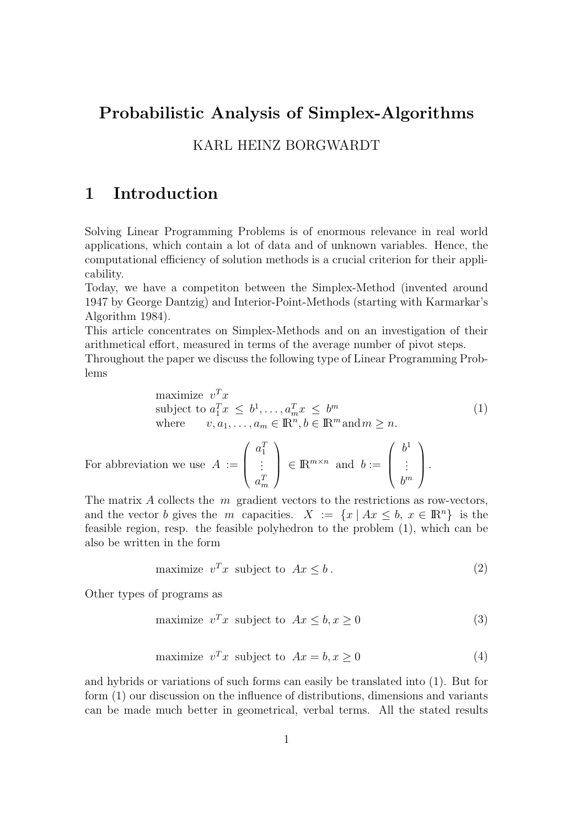### Probabilistic Analysis of Simplex-Algorithms

### KARL HEINZ BORGWARDT

## 1 Introduction

Solving Linear Programming Problems is of enormous relevance in real world applications, which contain a lot of data and of unknown variables. Hence, the computational efficiency of solution methods is a crucial criterion for their applicability.

Today, we have a competiton between the Simplex-Method (invented around 1947 by George Dantzig) and Interior-Point-Methods (starting with Karmarkar's Algorithm 1984).

This article concentrates on Simplex-Methods and on an investigation of their arithmetical effort, measured in terms of the average number of pivot steps.

Throughout the paper we discuss the following type of Linear Programming Problems

maximize 
$$
v^T x
$$
  
\nsubject to  $a_1^T x \leq b^1, \dots, a_m^T x \leq b^m$   
\nwhere  $v, a_1, \dots, a_m \in \mathbb{R}^n, b \in \mathbb{R}^m$  and  $m \geq n$ . (1)

For abbreviation we use 
$$
A := \begin{pmatrix} a_1^T \\ \vdots \\ a_m^T \end{pmatrix} \in \mathbb{R}^{m \times n}
$$
 and  $b := \begin{pmatrix} b^1 \\ \vdots \\ b^m \end{pmatrix}$ .

The matrix A collects the m gradient vectors to the restrictions as row-vectors, and the vector b gives the m capacities.  $X := \{x \mid Ax \leq b, x \in \mathbb{R}^n\}$  is the feasible region, resp. the feasible polyhedron to the problem (1), which can be also be written in the form

$$
\text{maximize } v^T x \text{ subject to } Ax \leq b. \tag{2}
$$

Other types of programs as

$$
\text{maximize } v^T x \text{ subject to } Ax \leq b, x \geq 0 \tag{3}
$$

$$
\text{maximize } v^T x \text{ subject to } Ax = b, x \ge 0 \tag{4}
$$

and hybrids or variations of such forms can easily be translated into (1). But for form (1) our discussion on the influence of distributions, dimensions and variants can be made much better in geometrical, verbal terms. All the stated results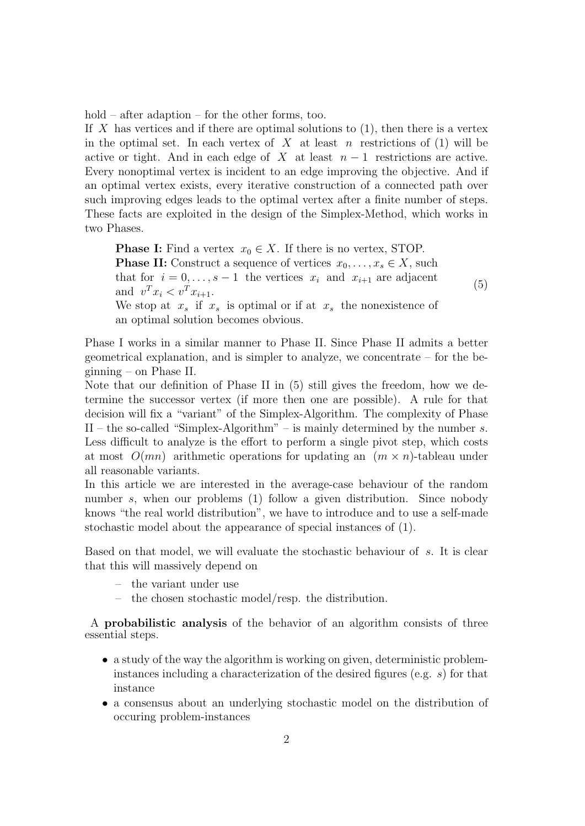hold – after adaption – for the other forms, too.

If X has vertices and if there are optimal solutions to  $(1)$ , then there is a vertex in the optimal set. In each vertex of  $X$  at least  $n$  restrictions of (1) will be active or tight. And in each edge of X at least  $n-1$  restrictions are active. Every nonoptimal vertex is incident to an edge improving the objective. And if an optimal vertex exists, every iterative construction of a connected path over such improving edges leads to the optimal vertex after a finite number of steps. These facts are exploited in the design of the Simplex-Method, which works in two Phases.

**Phase I:** Find a vertex  $x_0 \in X$ . If there is no vertex, STOP. **Phase II:** Construct a sequence of vertices  $x_0, \ldots, x_s \in X$ , such that for  $i = 0, \ldots, s - 1$  the vertices  $x_i$  and  $x_{i+1}$  are adjacent and  $v^T x_i < v^T x_{i+1}$ . We stop at  $x_s$  if  $x_s$  is optimal or if at  $x_s$  the nonexistence of

(5)

an optimal solution becomes obvious.

Phase I works in a similar manner to Phase II. Since Phase II admits a better geometrical explanation, and is simpler to analyze, we concentrate – for the beginning – on Phase II.

Note that our definition of Phase II in (5) still gives the freedom, how we determine the successor vertex (if more then one are possible). A rule for that decision will fix a "variant" of the Simplex-Algorithm. The complexity of Phase II – the so-called "Simplex-Algorithm" – is mainly determined by the number s. Less difficult to analyze is the effort to perform a single pivot step, which costs at most  $O(mn)$  arithmetic operations for updating an  $(m \times n)$ -tableau under all reasonable variants.

In this article we are interested in the average-case behaviour of the random number s, when our problems (1) follow a given distribution. Since nobody knows "the real world distribution", we have to introduce and to use a self-made stochastic model about the appearance of special instances of (1).

Based on that model, we will evaluate the stochastic behaviour of s. It is clear that this will massively depend on

- the variant under use
- the chosen stochastic model/resp. the distribution.

A probabilistic analysis of the behavior of an algorithm consists of three essential steps.

- a study of the way the algorithm is working on given, deterministic probleminstances including a characterization of the desired figures (e.g.  $s$ ) for that instance
- a consensus about an underlying stochastic model on the distribution of occuring problem-instances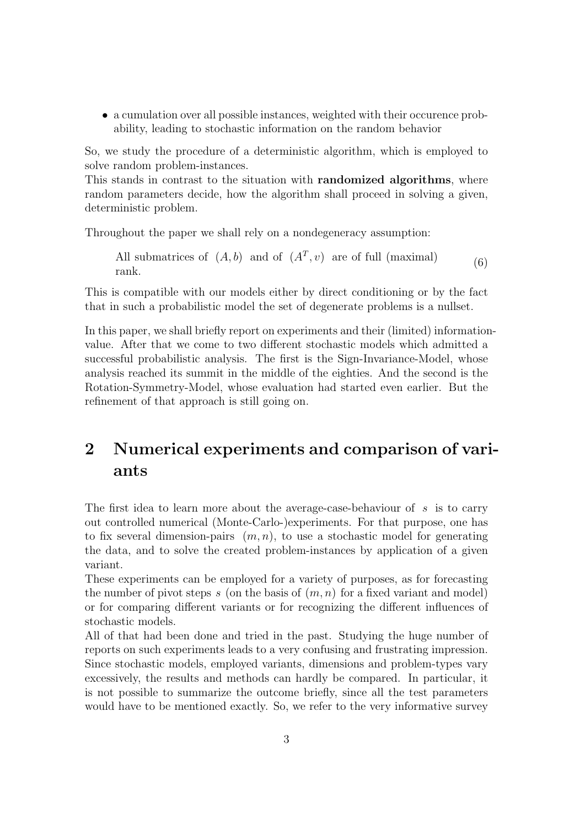• a cumulation over all possible instances, weighted with their occurence probability, leading to stochastic information on the random behavior

So, we study the procedure of a deterministic algorithm, which is employed to solve random problem-instances.

This stands in contrast to the situation with randomized algorithms, where random parameters decide, how the algorithm shall proceed in solving a given, deterministic problem.

Throughout the paper we shall rely on a nondegeneracy assumption:

All submatrices of  $(A, b)$  and of  $(A<sup>T</sup>, v)$  are of full (maximal) rank. (6)

This is compatible with our models either by direct conditioning or by the fact that in such a probabilistic model the set of degenerate problems is a nullset.

In this paper, we shall briefly report on experiments and their (limited) informationvalue. After that we come to two different stochastic models which admitted a successful probabilistic analysis. The first is the Sign-Invariance-Model, whose analysis reached its summit in the middle of the eighties. And the second is the Rotation-Symmetry-Model, whose evaluation had started even earlier. But the refinement of that approach is still going on.

# 2 Numerical experiments and comparison of variants

The first idea to learn more about the average-case-behaviour of s is to carry out controlled numerical (Monte-Carlo-)experiments. For that purpose, one has to fix several dimension-pairs  $(m, n)$ , to use a stochastic model for generating the data, and to solve the created problem-instances by application of a given variant.

These experiments can be employed for a variety of purposes, as for forecasting the number of pivot steps s (on the basis of  $(m, n)$  for a fixed variant and model) or for comparing different variants or for recognizing the different influences of stochastic models.

All of that had been done and tried in the past. Studying the huge number of reports on such experiments leads to a very confusing and frustrating impression. Since stochastic models, employed variants, dimensions and problem-types vary excessively, the results and methods can hardly be compared. In particular, it is not possible to summarize the outcome briefly, since all the test parameters would have to be mentioned exactly. So, we refer to the very informative survey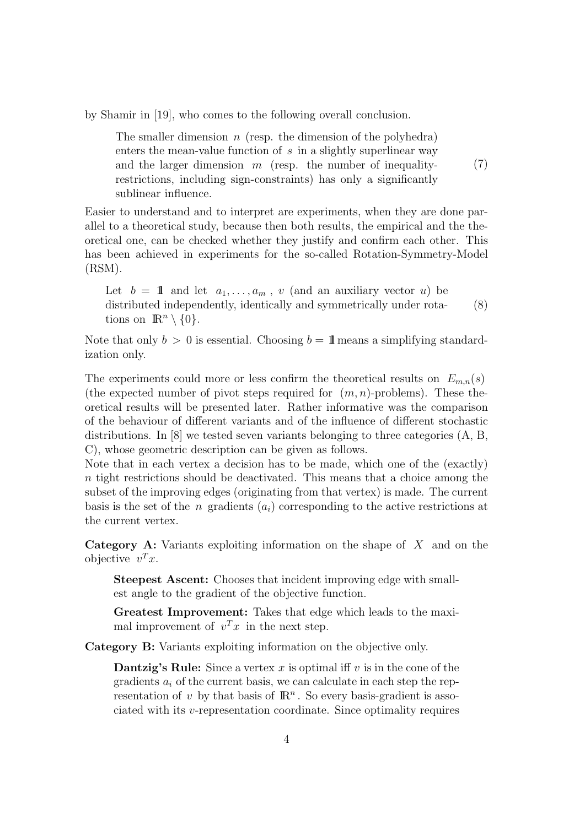by Shamir in [19], who comes to the following overall conclusion.

The smaller dimension  $n$  (resp. the dimension of the polyhedra) enters the mean-value function of s in a slightly superlinear way and the larger dimension  $m$  (resp. the number of inequalityrestrictions, including sign-constraints) has only a significantly sublinear influence.

(7)

Easier to understand and to interpret are experiments, when they are done parallel to a theoretical study, because then both results, the empirical and the theoretical one, can be checked whether they justify and confirm each other. This has been achieved in experiments for the so-called Rotation-Symmetry-Model (RSM).

Let  $b = 1$  and let  $a_1, \ldots, a_m$ , v (and an auxiliary vector u) be distributed independently, identically and symmetrically under rotations on  $\mathbb{R}^n \setminus \{0\}.$ (8)

Note that only  $b > 0$  is essential. Choosing  $b = 1$  means a simplifying standardization only.

The experiments could more or less confirm the theoretical results on  $E_{m,n}(s)$ (the expected number of pivot steps required for  $(m, n)$ -problems). These theoretical results will be presented later. Rather informative was the comparison of the behaviour of different variants and of the influence of different stochastic distributions. In [8] we tested seven variants belonging to three categories (A, B, C), whose geometric description can be given as follows.

Note that in each vertex a decision has to be made, which one of the (exactly) n tight restrictions should be deactivated. This means that a choice among the subset of the improving edges (originating from that vertex) is made. The current basis is the set of the n gradients  $(a_i)$  corresponding to the active restrictions at the current vertex.

Category A: Variants exploiting information on the shape of X and on the objective  $v^T x$ .

Steepest Ascent: Chooses that incident improving edge with smallest angle to the gradient of the objective function.

Greatest Improvement: Takes that edge which leads to the maximal improvement of  $v^T x$  in the next step.

Category B: Variants exploiting information on the objective only.

**Dantzig's Rule:** Since a vertex x is optimal iff v is in the cone of the gradients  $a_i$  of the current basis, we can calculate in each step the representation of  $v$  by that basis of  $\mathbb{R}^n$ . So every basis-gradient is associated with its v-representation coordinate. Since optimality requires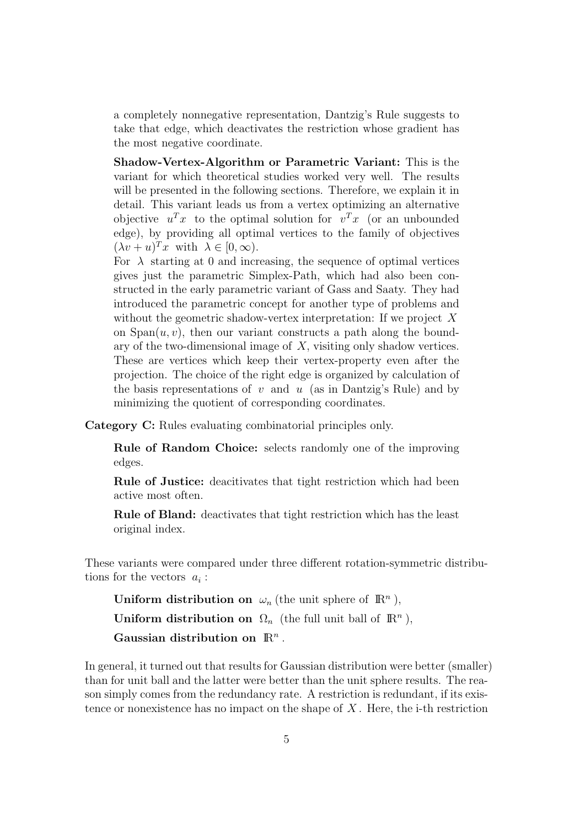a completely nonnegative representation, Dantzig's Rule suggests to take that edge, which deactivates the restriction whose gradient has the most negative coordinate.

Shadow-Vertex-Algorithm or Parametric Variant: This is the variant for which theoretical studies worked very well. The results will be presented in the following sections. Therefore, we explain it in detail. This variant leads us from a vertex optimizing an alternative objective  $u^T x$  to the optimal solution for  $v^T x$  (or an unbounded edge), by providing all optimal vertices to the family of objectives  $(\lambda v + u)^T x$  with  $\lambda \in [0, \infty)$ .

For  $\lambda$  starting at 0 and increasing, the sequence of optimal vertices gives just the parametric Simplex-Path, which had also been constructed in the early parametric variant of Gass and Saaty. They had introduced the parametric concept for another type of problems and without the geometric shadow-vertex interpretation: If we project X on  $\text{Span}(u, v)$ , then our variant constructs a path along the boundary of the two-dimensional image of  $X$ , visiting only shadow vertices. These are vertices which keep their vertex-property even after the projection. The choice of the right edge is organized by calculation of the basis representations of v and u (as in Dantzig's Rule) and by minimizing the quotient of corresponding coordinates.

Category C: Rules evaluating combinatorial principles only.

Rule of Random Choice: selects randomly one of the improving edges.

Rule of Justice: deacitivates that tight restriction which had been active most often.

Rule of Bland: deactivates that tight restriction which has the least original index.

These variants were compared under three different rotation-symmetric distributions for the vectors  $a_i$ :

Uniform distribution on  $\omega_n$  (the unit sphere of  $\mathbb{R}^n$ ), Uniform distribution on  $\Omega_n$  (the full unit ball of  $\mathbb{R}^n$ ), Gaussian distribution on  $\mathbb{R}^n$ .

In general, it turned out that results for Gaussian distribution were better (smaller) than for unit ball and the latter were better than the unit sphere results. The reason simply comes from the redundancy rate. A restriction is redundant, if its existence or nonexistence has no impact on the shape of  $X$ . Here, the i-th restriction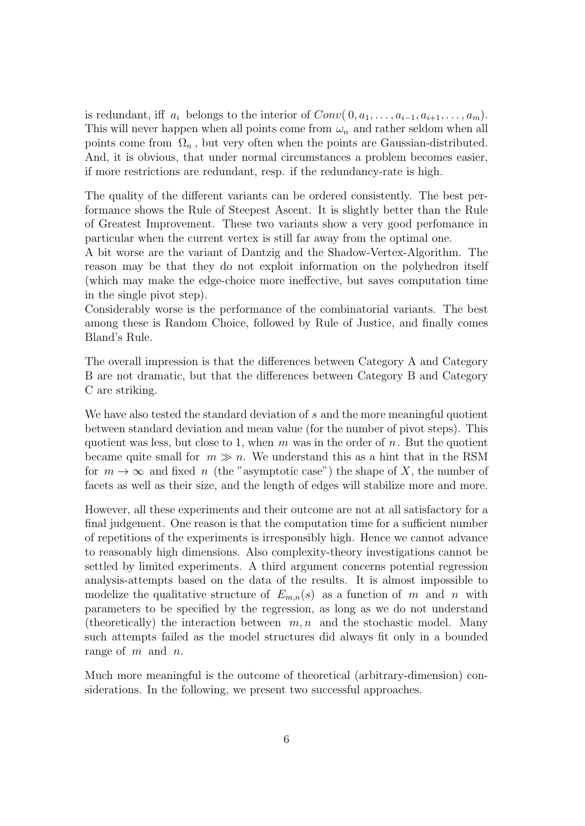is redundant, iff  $a_i$  belongs to the interior of  $Conv(0, a_1, \ldots, a_{i-1}, a_{i+1}, \ldots, a_m)$ . This will never happen when all points come from  $\omega_n$  and rather seldom when all points come from  $\Omega_n$ , but very often when the points are Gaussian-distributed. And, it is obvious, that under normal circumstances a problem becomes easier, if more restrictions are redundant, resp. if the redundancy-rate is high.

The quality of the different variants can be ordered consistently. The best performance shows the Rule of Steepest Ascent. It is slightly better than the Rule of Greatest Improvement. These two variants show a very good perfomance in particular when the current vertex is still far away from the optimal one.

A bit worse are the variant of Dantzig and the Shadow-Vertex-Algorithm. The reason may be that they do not exploit information on the polyhedron itself (which may make the edge-choice more ineffective, but saves computation time in the single pivot step).

Considerably worse is the performance of the combinatorial variants. The best among these is Random Choice, followed by Rule of Justice, and finally comes Bland's Rule.

The overall impression is that the differences between Category A and Category B are not dramatic, but that the differences between Category B and Category C are striking.

We have also tested the standard deviation of s and the more meaningful quotient between standard deviation and mean value (for the number of pivot steps). This quotient was less, but close to 1, when m was in the order of n. But the quotient became quite small for  $m \gg n$ . We understand this as a hint that in the RSM for  $m \to \infty$  and fixed n (the "asymptotic case") the shape of X, the number of facets as well as their size, and the length of edges will stabilize more and more.

However, all these experiments and their outcome are not at all satisfactory for a final judgement. One reason is that the computation time for a sufficient number of repetitions of the experiments is irresponsibly high. Hence we cannot advance to reasonably high dimensions. Also complexity-theory investigations cannot be settled by limited experiments. A third argument concerns potential regression analysis-attempts based on the data of the results. It is almost impossible to modelize the qualitative structure of  $E_{m,n}(s)$  as a function of m and n with parameters to be specified by the regression, as long as we do not understand (theoretically) the interaction between  $m, n$  and the stochastic model. Many such attempts failed as the model structures did always fit only in a bounded range of  $m$  and  $n$ .

Much more meaningful is the outcome of theoretical (arbitrary-dimension) considerations. In the following, we present two successful approaches.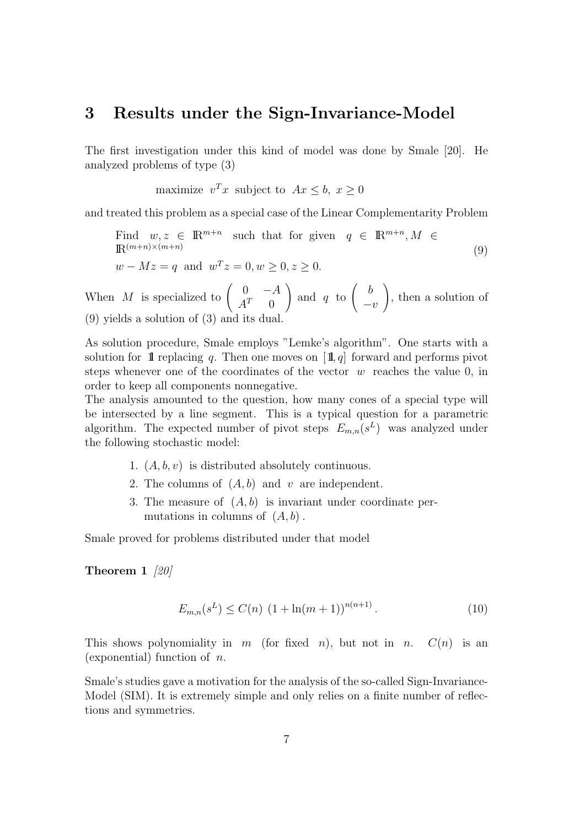### 3 Results under the Sign-Invariance-Model

The first investigation under this kind of model was done by Smale [20]. He analyzed problems of type (3)

maximize  $v^T x$  subject to  $Ax \leq b, x \geq 0$ 

and treated this problem as a special case of the Linear Complementarity Problem

Find  $w, z \in \mathbb{R}^{m+n}$  such that for given  $q \in \mathbb{R}^{m+n}, M \in$  $\mathbb{R}^{(m+n)\times(m+n)}$  $w - Mz = q$  and  $w^T z = 0, w \ge 0, z \ge 0$ . (9)

When M is specialized to  $\begin{pmatrix} 0 & -A \\ A^T & 0 \end{pmatrix}$  $A^T$  0 ) and q to  $\begin{pmatrix} b \end{pmatrix}$  $-v$  $\setminus$ , then a solution of (9) yields a solution of (3) and its dual.

As solution procedure, Smale employs "Lemke's algorithm". One starts with a solution for 1 replacing q. Then one moves on  $\left[1\right]$ , q forward and performs pivot steps whenever one of the coordinates of the vector  $w$  reaches the value 0, in order to keep all components nonnegative.

The analysis amounted to the question, how many cones of a special type will be intersected by a line segment. This is a typical question for a parametric algorithm. The expected number of pivot steps  $E_{m,n}(s^L)$  was analyzed under the following stochastic model:

- 1.  $(A, b, v)$  is distributed absolutely continuous.
- 2. The columns of  $(A, b)$  and v are independent.
- 3. The measure of  $(A, b)$  is invariant under coordinate permutations in columns of  $(A, b)$ .

Smale proved for problems distributed under that model

#### Theorem 1 [20]

$$
E_{m,n}(s^L) \le C(n) \left(1 + \ln(m+1)\right)^{n(n+1)}.\tag{10}
$$

This shows polynomiality in m (for fixed n), but not in n.  $C(n)$  is an (exponential) function of  $n$ .

Smale's studies gave a motivation for the analysis of the so-called Sign-Invariance-Model (SIM). It is extremely simple and only relies on a finite number of reflections and symmetries.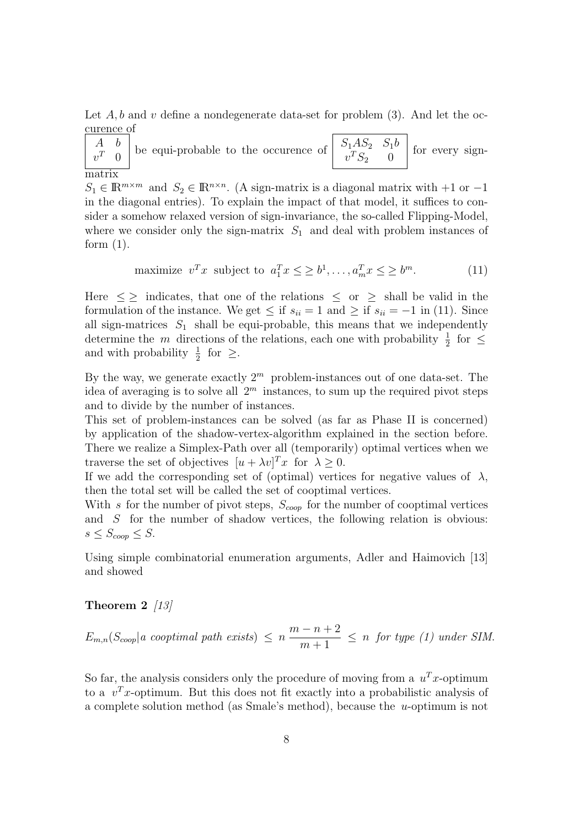Let A, b and v define a nondegenerate data-set for problem  $(3)$ . And let the occurence of

A b  $\begin{array}{c|c|c}\nA & b \\
v^T & 0\n\end{array}$  be equi-probable to the occurence of  $\begin{array}{c|c}\nS_1AS_2 & S_1b \\
v^TS_2 & 0\n\end{array}$  for every signmatrix

 $S_1 \in \mathbb{R}^{m \times m}$  and  $S_2 \in \mathbb{R}^{n \times n}$ . (A sign-matrix is a diagonal matrix with +1 or -1 in the diagonal entries). To explain the impact of that model, it suffices to consider a somehow relaxed version of sign-invariance, the so-called Flipping-Model, where we consider only the sign-matrix  $S_1$  and deal with problem instances of form  $(1)$ .

maximize 
$$
v^T x
$$
 subject to  $a_1^T x \leq \geq b^1, \ldots, a_m^T x \leq \geq b^m$ . (11)

Here  $\leq \geq$  indicates, that one of the relations  $\leq$  or  $\geq$  shall be valid in the formulation of the instance. We get  $\leq$  if  $s_{ii} = 1$  and  $\geq$  if  $s_{ii} = -1$  in (11). Since all sign-matrices  $S_1$  shall be equi-probable, this means that we independently determine the m directions of the relations, each one with probability  $\frac{1}{2}$  for  $\leq$ and with probability  $\frac{1}{2}$  for  $\geq$ .

By the way, we generate exactly  $2^m$  problem-instances out of one data-set. The idea of averaging is to solve all  $2^m$  instances, to sum up the required pivot steps and to divide by the number of instances.

This set of problem-instances can be solved (as far as Phase II is concerned) by application of the shadow-vertex-algorithm explained in the section before. There we realize a Simplex-Path over all (temporarily) optimal vertices when we traverse the set of objectives  $[u + \lambda v]^T x$  for  $\lambda \geq 0$ .

If we add the corresponding set of (optimal) vertices for negative values of  $\lambda$ , then the total set will be called the set of cooptimal vertices.

With s for the number of pivot steps,  $S_{coop}$  for the number of cooptimal vertices and  $S$  for the number of shadow vertices, the following relation is obvious:  $s \leq S_{coop} \leq S$ .

Using simple combinatorial enumeration arguments, Adler and Haimovich [13] and showed

#### Theorem 2  $[13]$

$$
E_{m,n}(S_{coop}|a\,\,coptimal\,\,path\,\,exists\,\,h\,\,exists\,\,s) \leq n\,\frac{m-n+2}{m+1} \leq n\,\,for\,\,type\,\,(1)\,\,under\,\,SIM.
$$

So far, the analysis considers only the procedure of moving from a  $u^T x$ -optimum to a  $v^T x$ -optimum. But this does not fit exactly into a probabilistic analysis of a complete solution method (as Smale's method), because the u-optimum is not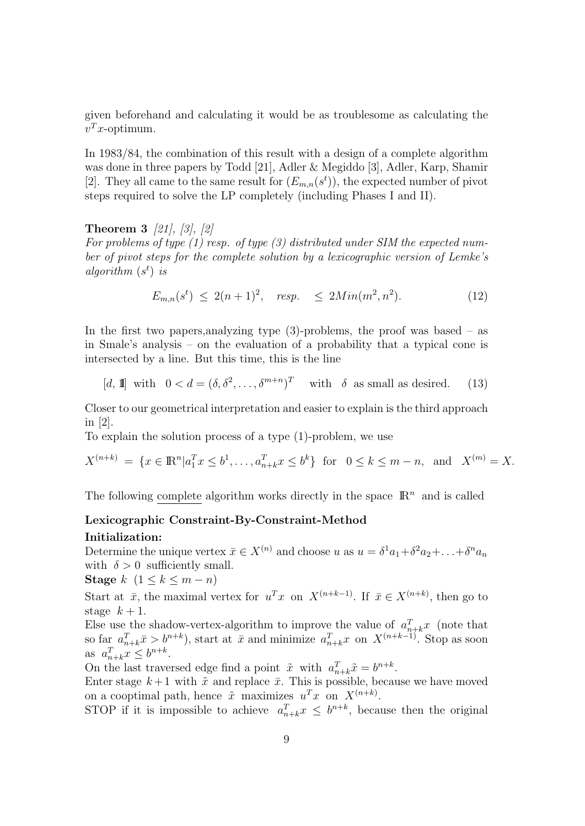given beforehand and calculating it would be as troublesome as calculating the  $v^T x$ -optimum.

In 1983/84, the combination of this result with a design of a complete algorithm was done in three papers by Todd [21], Adler & Megiddo [3], Adler, Karp, Shamir [2]. They all came to the same result for  $(E_{m,n}(s^t))$ , the expected number of pivot steps required to solve the LP completely (including Phases I and II).

#### **Theorem 3** [21], [3], [2]

For problems of type  $(1)$  resp. of type  $(3)$  distributed under SIM the expected number of pivot steps for the complete solution by a lexicographic version of Lemke's algorithm  $(s^t)$  is

$$
E_{m,n}(s^t) \le 2(n+1)^2, \quad resp. \quad \le 2Min(m^2, n^2). \tag{12}
$$

In the first two papers, analyzing type  $(3)$ -problems, the proof was based – as in Smale's analysis – on the evaluation of a probability that a typical cone is intersected by a line. But this time, this is the line

$$
[d, 1] \text{ with } 0 < d = (\delta, \delta^2, \dots, \delta^{m+n})^T \text{ with } \delta \text{ as small as desired.} \tag{13}
$$

Closer to our geometrical interpretation and easier to explain is the third approach in [2].

To explain the solution process of a type (1)-problem, we use

$$
X^{(n+k)} = \{x \in \mathbb{R}^n | a_1^T x \le b^1, \dots, a_{n+k}^T x \le b^k\} \text{ for } 0 \le k \le m-n, \text{ and } X^{(m)} = X.
$$

The following complete algorithm works directly in the space  $\mathbb{R}^n$  and is called

#### Lexicographic Constraint-By-Constraint-Method

#### Initialization:

Determine the unique vertex  $\bar{x} \in X^{(n)}$  and choose u as  $u = \delta^1 a_1 + \delta^2 a_2 + \ldots + \delta^n a_n$ with  $\delta > 0$  sufficiently small.

Stage  $k$   $(1 \leq k \leq m-n)$ 

Start at  $\bar{x}$ , the maximal vertex for  $u^T x$  on  $X^{(n+k-1)}$ . If  $\bar{x} \in X^{(n+k)}$ , then go to stage  $k + 1$ .

Else use the shadow-vertex-algorithm to improve the value of  $a_{n+k}^T x$  (note that so far  $a_{n+k}^T \bar{x} > b^{n+k}$ , start at  $\bar{x}$  and minimize  $a_{n+k}^T x$  on  $X^{(n+k-1)}$ . Stop as soon as  $a_{n+k}^T x \leq b^{n+k}$ .

On the last traversed edge find a point  $\tilde{x}$  with  $a_{n+k}^T \tilde{x} = b^{n+k}$ .

Enter stage  $k+1$  with  $\tilde{x}$  and replace  $\bar{x}$ . This is possible, because we have moved on a cooptimal path, hence  $\tilde{x}$  maximizes  $u^T x$  on  $X^{(n+k)}$ .

STOP if it is impossible to achieve  $a_{n+k}^T x \leq b^{n+k}$ , because then the original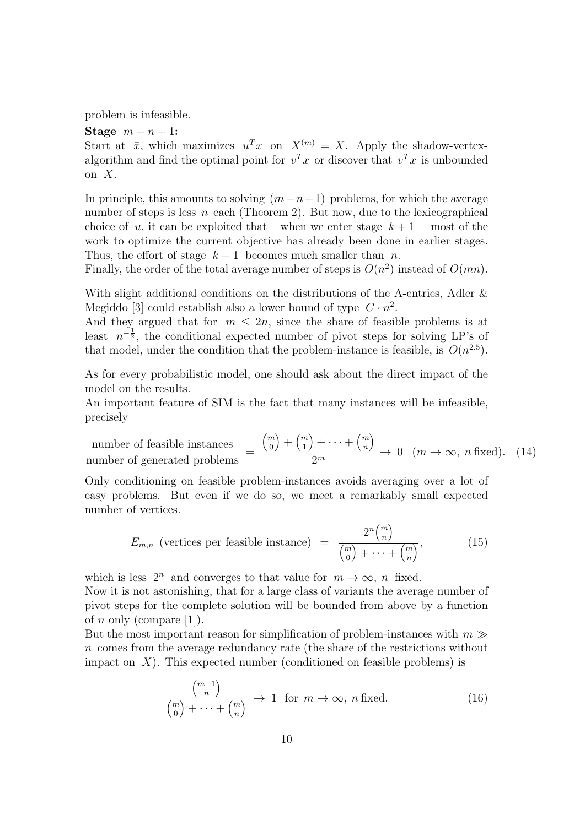problem is infeasible.

Stage  $m - n + 1$ :

Start at  $\bar{x}$ , which maximizes  $u^T x$  on  $X^{(m)} = X$ . Apply the shadow-vertexalgorithm and find the optimal point for  $v^T x$  or discover that  $v^T x$  is unbounded on  $X$ .

In principle, this amounts to solving  $(m-n+1)$  problems, for which the average number of steps is less  $n$  each (Theorem 2). But now, due to the lexicographical choice of u, it can be exploited that – when we enter stage  $k + 1$  – most of the work to optimize the current objective has already been done in earlier stages. Thus, the effort of stage  $k+1$  becomes much smaller than n.

Finally, the order of the total average number of steps is  $O(n^2)$  instead of  $O(mn)$ .

With slight additional conditions on the distributions of the A-entries, Adler & Megiddo [3] could establish also a lower bound of type  $C \cdot n^2$ .

And they argued that for  $m \leq 2n$ , since the share of feasible problems is at least  $n^{-\frac{1}{2}}$ , the conditional expected number of pivot steps for solving LP's of that model, under the condition that the problem-instance is feasible, is  $O(n^{2.5})$ .

As for every probabilistic model, one should ask about the direct impact of the model on the results.

An important feature of SIM is the fact that many instances will be infeasible, precisely

number of feasible instances  
number of generated problems 
$$
=\frac{\binom{m}{0} + \binom{m}{1} + \cdots + \binom{m}{n}}{2^m} \to 0 \quad (m \to \infty, n \text{ fixed}).
$$
 (14)

Only conditioning on feasible problem-instances avoids averaging over a lot of easy problems. But even if we do so, we meet a remarkably small expected number of vertices.

$$
E_{m,n} \text{ (vertices per feasible instance)} = \frac{2^n \binom{m}{n}}{\binom{m}{0} + \dots + \binom{m}{n}},\tag{15}
$$

which is less  $2^n$  and converges to that value for  $m \to \infty$ , n fixed.

Now it is not astonishing, that for a large class of variants the average number of pivot steps for the complete solution will be bounded from above by a function of *n* only (compare [1]).

But the most important reason for simplification of problem-instances with  $m \gg$ n comes from the average redundancy rate (the share of the restrictions without impact on  $X$ ). This expected number (conditioned on feasible problems) is

$$
\frac{\binom{m-1}{n}}{\binom{m}{0} + \dots + \binom{m}{n}} \to 1 \text{ for } m \to \infty, n \text{ fixed.}
$$
 (16)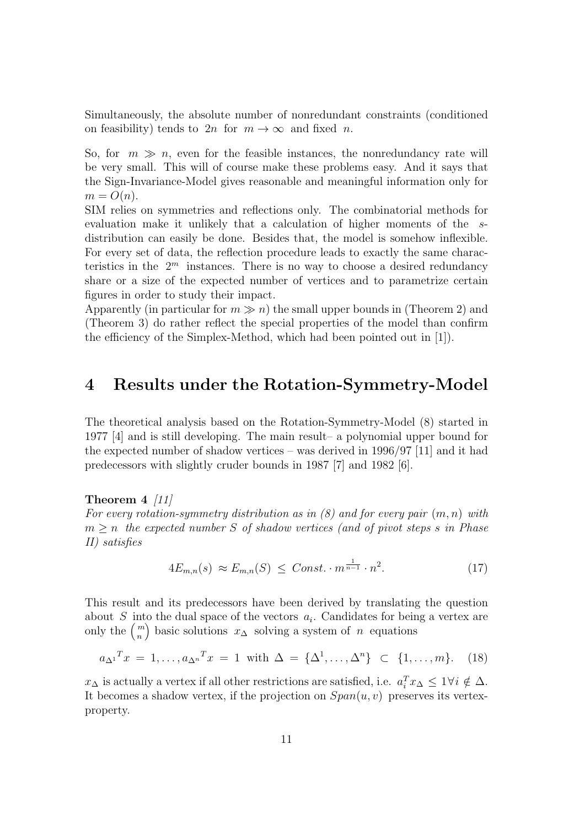Simultaneously, the absolute number of nonredundant constraints (conditioned on feasibility) tends to  $2n$  for  $m \to \infty$  and fixed n.

So, for  $m \gg n$ , even for the feasible instances, the nonredundancy rate will be very small. This will of course make these problems easy. And it says that the Sign-Invariance-Model gives reasonable and meaningful information only for  $m = O(n)$ .

SIM relies on symmetries and reflections only. The combinatorial methods for evaluation make it unlikely that a calculation of higher moments of the sdistribution can easily be done. Besides that, the model is somehow inflexible. For every set of data, the reflection procedure leads to exactly the same characteristics in the  $2<sup>m</sup>$  instances. There is no way to choose a desired redundancy share or a size of the expected number of vertices and to parametrize certain figures in order to study their impact.

Apparently (in particular for  $m \gg n$ ) the small upper bounds in (Theorem 2) and (Theorem 3) do rather reflect the special properties of the model than confirm the efficiency of the Simplex-Method, which had been pointed out in [1]).

### 4 Results under the Rotation-Symmetry-Model

The theoretical analysis based on the Rotation-Symmetry-Model (8) started in 1977 [4] and is still developing. The main result– a polynomial upper bound for the expected number of shadow vertices – was derived in 1996/97 [11] and it had predecessors with slightly cruder bounds in 1987 [7] and 1982 [6].

#### Theorem 4 [11]

For every rotation-symmetry distribution as in  $(8)$  and for every pair  $(m, n)$  with  $m \geq n$  the expected number S of shadow vertices (and of pivot steps s in Phase II) satisfies

$$
4E_{m,n}(s) \approx E_{m,n}(S) \leq Const. \cdot m^{\frac{1}{n-1}} \cdot n^2. \tag{17}
$$

This result and its predecessors have been derived by translating the question about  $S$  into the dual space of the vectors  $a_i$ . Candidates for being a vertex are only the  $\binom{m}{n}$ n ) basic solutions  $x_\Delta$  solving a system of n equations

$$
a_{\Delta^{1}}{}^{T}x = 1, \ldots, a_{\Delta^{n}}{}^{T}x = 1 \text{ with } \Delta = {\{\Delta^{1}, \ldots, \Delta^{n}\}} \subset \{1, \ldots, m\}. \tag{18}
$$

 $x_\Delta$  is actually a vertex if all other restrictions are satisfied, i.e.  $a_i^T x_\Delta \leq 1 \forall i \notin \Delta$ . It becomes a shadow vertex, if the projection on  $Span(u, v)$  preserves its vertexproperty.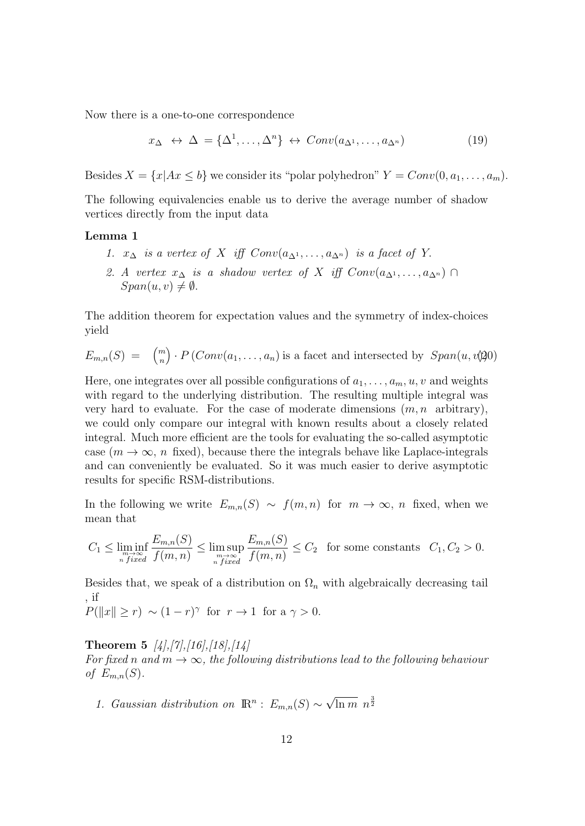Now there is a one-to-one correspondence

$$
x_{\Delta} \leftrightarrow \Delta = {\Delta^1, \dots, \Delta^n} \leftrightarrow Conv(a_{\Delta^1}, \dots, a_{\Delta^n})
$$
\n(19)

Besides  $X = \{x | Ax \leq b\}$  we consider its "polar polyhedron"  $Y = Conv(0, a_1, \ldots, a_m)$ .

The following equivalencies enable us to derive the average number of shadow vertices directly from the input data

#### Lemma 1

1.  $x_{\Delta}$  is a vertex of X iff  $Conv(a_{\Delta^1}, \ldots, a_{\Delta^n})$  is a facet of Y. 2. A vertex  $x_\Delta$  is a shadow vertex of X iff  $Conv(a_{\Delta^1},...,a_{\Delta^n}) \cap$  $Span(u, v) \neq \emptyset$ .

The addition theorem for expectation values and the symmetry of index-choices yield

$$
E_{m,n}(S) = {m \choose n} \cdot P \left( Conv(a_1, \ldots, a_n) \text{ is a facet and intersected by } Span(u, v) \right)
$$

Here, one integrates over all possible configurations of  $a_1, \ldots, a_m, u, v$  and weights with regard to the underlying distribution. The resulting multiple integral was very hard to evaluate. For the case of moderate dimensions  $(m, n$  arbitrary), we could only compare our integral with known results about a closely related integral. Much more efficient are the tools for evaluating the so-called asymptotic case  $(m \to \infty, n$  fixed), because there the integrals behave like Laplace-integrals and can conveniently be evaluated. So it was much easier to derive asymptotic results for specific RSM-distributions.

In the following we write  $E_{m,n}(S) \sim f(m,n)$  for  $m \to \infty$ , n fixed, when we mean that

$$
C_1 \le \liminf_{\substack{m \to \infty \\ n \text{ fixed}}} \frac{E_{m,n}(S)}{f(m,n)} \le \limsup_{\substack{m \to \infty \\ n \text{ fixed}}} \frac{E_{m,n}(S)}{f(m,n)} \le C_2 \quad \text{for some constants} \quad C_1, C_2 > 0.
$$

Besides that, we speak of a distribution on  $\Omega_n$  with algebraically decreasing tail , if

 $P(||x|| \ge r) \sim (1 - r)^{\gamma}$  for  $r \to 1$  for  $a \gamma > 0$ .

**Theorem 5**  $\frac{1}{4}$ ,  $\frac{7}{16}$ ,  $\frac{16}{18}$ ,  $\frac{18}{14}$ For fixed n and  $m \to \infty$ , the following distributions lead to the following behaviour of  $E_{m,n}(S)$ .

1. Gaussian distribution on  $\mathbb{R}^n$ :  $E_{m,n}(S) \sim$ √  $\overline{\ln m}$   $n^{\frac{3}{2}}$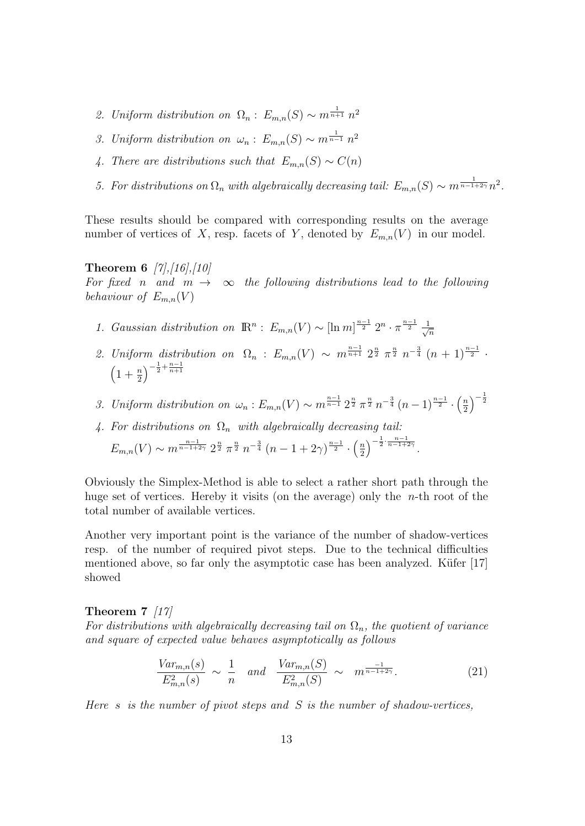- 2. Uniform distribution on  $\Omega_n: E_{m,n}(S) \sim m^{\frac{1}{n+1}} n^2$
- 3. Uniform distribution on  $\omega_n : E_{m,n}(S) \sim m^{\frac{1}{n-1}} n^2$
- 4. There are distributions such that  $E_{m,n}(S) \sim C(n)$
- 5. For distributions on  $\Omega_n$  with algebraically decreasing tail:  $E_{m,n}(S) \sim m^{\frac{1}{n-1+2\gamma}} n^2$ .

These results should be compared with corresponding results on the average number of vertices of X, resp. facets of Y, denoted by  $E_{m,n}(V)$  in our model.

**Theorem 6** [7], [16], [10] For fixed n and  $m \to \infty$  the following distributions lead to the following behaviour of  $E_{m,n}(V)$ 

- 1. Gaussian distribution on  $\mathbb{R}^n$ :  $E_{m,n}(V) \sim [\ln m]^{\frac{n-1}{2}} 2^n \cdot \pi^{\frac{n-1}{2}} \frac{1}{\sqrt{n}}$  $\overline{n}$
- 2. Uniform distribution on  $\Omega_n$ :  $E_{m,n}(V) \sim m^{\frac{n-1}{n+1}} 2^{\frac{n}{2}} \pi^{\frac{n}{2}} n^{-\frac{3}{4}} (n+1)^{\frac{n-1}{2}}$ .  $\left(1+\frac{n}{2}\right)$  $\frac{-\frac{1}{2} + \frac{n-1}{n+1}}{1}$
- 3. Uniform distribution on  $\omega_n : E_{m,n}(V) \sim m^{\frac{n-1}{n-1}} 2^{\frac{n}{2}} \pi^{\frac{n}{2}} n^{-\frac{3}{4}} (n-1)^{\frac{n-1}{2}} \cdot \left(\frac{n}{2}\right)$ 2  $\frac{1}{2}$
- 4. For distributions on  $\Omega_n$  with algebraically decreasing tail:  $E_{m,n}(V) \sim m^{\frac{n-1}{n-1+2\gamma}} 2^{\frac{n}{2}} \pi^{\frac{n}{2}} n^{-\frac{3}{4}} (n-1+2\gamma)^{\frac{n-1}{2}} \cdot \left(\frac{n}{2}\right)$ 2  $\bigg)^{-\frac{1}{2} \cdot \frac{n-1}{n-1+2\gamma}}$ .

Obviously the Simplex-Method is able to select a rather short path through the huge set of vertices. Hereby it visits (on the average) only the  $n$ -th root of the total number of available vertices.

Another very important point is the variance of the number of shadow-vertices resp. of the number of required pivot steps. Due to the technical difficulties mentioned above, so far only the asymptotic case has been analyzed. Küfer  $[17]$ showed

#### Theorem  $7 \frac{17}{2}$

For distributions with algebraically decreasing tail on  $\Omega_n$ , the quotient of variance and square of expected value behaves asymptotically as follows

$$
\frac{Var_{m,n}(s)}{E_{m,n}^2(s)} \sim \frac{1}{n} \quad and \quad \frac{Var_{m,n}(S)}{E_{m,n}^2(S)} \sim m^{\frac{-1}{n-1+2\gamma}}.
$$
\n(21)

Here s is the number of pivot steps and  $S$  is the number of shadow-vertices,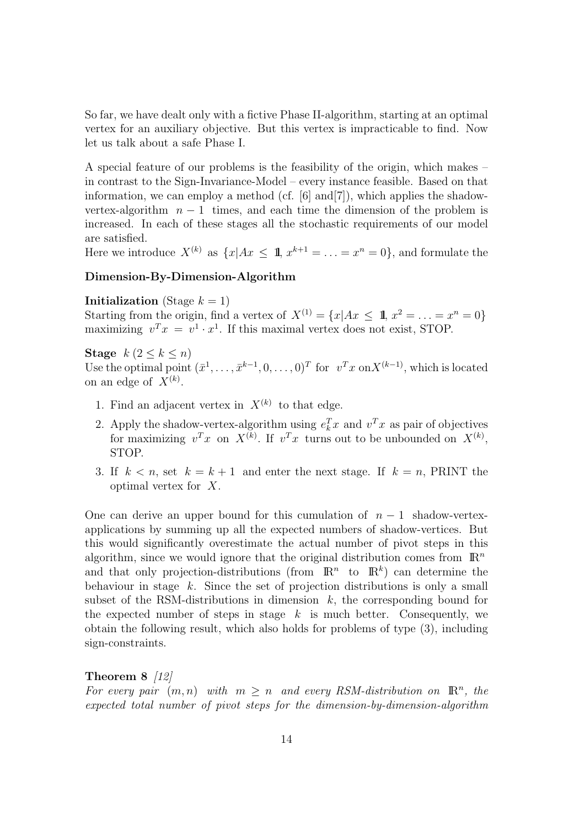So far, we have dealt only with a fictive Phase II-algorithm, starting at an optimal vertex for an auxiliary objective. But this vertex is impracticable to find. Now let us talk about a safe Phase I.

A special feature of our problems is the feasibility of the origin, which makes – in contrast to the Sign-Invariance-Model – every instance feasible. Based on that information, we can employ a method (cf.  $[6]$  and  $[7]$ ), which applies the shadowvertex-algorithm  $n-1$  times, and each time the dimension of the problem is increased. In each of these stages all the stochastic requirements of our model are satisfied.

Here we introduce  $X^{(k)}$  as  $\{x|Ax \leq 1, x^{k+1} = \ldots = x^{n} = 0\}$ , and formulate the

#### Dimension-By-Dimension-Algorithm

#### **Initialization** (Stage  $k = 1$ )

Starting from the origin, find a vertex of  $X^{(1)} = \{x | Ax \leq 1, x^2 = \ldots = x^n = 0\}$ maximizing  $v^T x = v^1 \cdot x^1$ . If this maximal vertex does not exist, STOP.

Stage  $k (2 \leq k \leq n)$ Use the optimal point  $(\bar{x}^1, \ldots, \bar{x}^{k-1}, 0, \ldots, 0)^T$  for  $v^T x$  on  $X^{(k-1)}$ , which is located on an edge of  $X^{(k)}$ .

- 1. Find an adjacent vertex in  $X^{(k)}$  to that edge.
- 2. Apply the shadow-vertex-algorithm using  $e_k^T x$  and  $v^T x$  as pair of objectives for maximizing  $v^T x$  on  $X^{(k)}$ . If  $v^T x$  turns out to be unbounded on  $X^{(k)}$ , STOP.
- 3. If  $k < n$ , set  $k = k + 1$  and enter the next stage. If  $k = n$ , PRINT the optimal vertex for X.

One can derive an upper bound for this cumulation of  $n-1$  shadow-vertexapplications by summing up all the expected numbers of shadow-vertices. But this would significantly overestimate the actual number of pivot steps in this algorithm, since we would ignore that the original distribution comes from  $\mathbb{R}^n$ and that only projection-distributions (from  $\mathbb{R}^n$  to  $\mathbb{R}^k$ ) can determine the behaviour in stage  $k$ . Since the set of projection distributions is only a small subset of the RSM-distributions in dimension  $k$ , the corresponding bound for the expected number of steps in stage  $k$  is much better. Consequently, we obtain the following result, which also holds for problems of type (3), including sign-constraints.

#### Theorem 8 [12]

For every pair  $(m, n)$  with  $m \geq n$  and every RSM-distribution on  $\mathbb{R}^n$ , the expected total number of pivot steps for the dimension-by-dimension-algorithm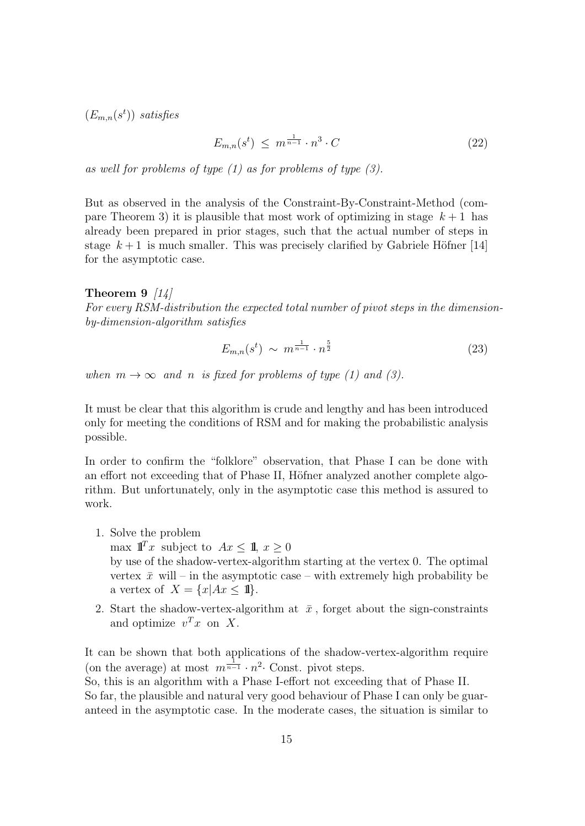$(E_{m,n}(s^t))$  satisfies

$$
E_{m,n}(s^t) \le m^{\frac{1}{n-1}} \cdot n^3 \cdot C \tag{22}
$$

as well for problems of type (1) as for problems of type (3).

But as observed in the analysis of the Constraint-By-Constraint-Method (compare Theorem 3) it is plausible that most work of optimizing in stage  $k+1$  has already been prepared in prior stages, such that the actual number of steps in stage  $k + 1$  is much smaller. This was precisely clarified by Gabriele Höfner [14] for the asymptotic case.

### Theorem 9  $[14]$ For every RSM-distribution the expected total number of pivot steps in the dimensionby-dimension-algorithm satisfies

$$
E_{m,n}(s^t) \sim m^{\frac{1}{n-1}} \cdot n^{\frac{5}{2}} \tag{23}
$$

when  $m \to \infty$  and n is fixed for problems of type (1) and (3).

It must be clear that this algorithm is crude and lengthy and has been introduced only for meeting the conditions of RSM and for making the probabilistic analysis possible.

In order to confirm the "folklore" observation, that Phase I can be done with an effort not exceeding that of Phase II, Höfner analyzed another complete algorithm. But unfortunately, only in the asymptotic case this method is assured to work.

1. Solve the problem

max  $\mathbf{1}^T x$  subject to  $Ax \leq \mathbf{1}, x \geq 0$ by use of the shadow-vertex-algorithm starting at the vertex 0. The optimal vertex  $\bar{x}$  will – in the asymptotic case – with extremely high probability be a vertex of  $X = \{x | Ax \leq 1\}.$ 

2. Start the shadow-vertex-algorithm at  $\bar{x}$ , forget about the sign-constraints and optimize  $v^T x$  on X.

It can be shown that both applications of the shadow-vertex-algorithm require (on the average) at most  $m^{\frac{1}{n-1}} \cdot n^2$ . Const. pivot steps.

So, this is an algorithm with a Phase I-effort not exceeding that of Phase II. So far, the plausible and natural very good behaviour of Phase I can only be guaranteed in the asymptotic case. In the moderate cases, the situation is similar to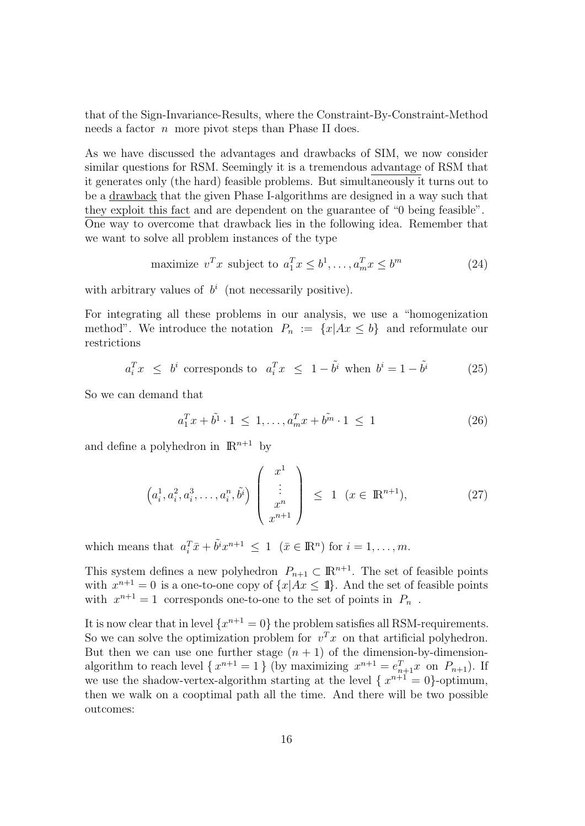that of the Sign-Invariance-Results, where the Constraint-By-Constraint-Method needs a factor n more pivot steps than Phase II does.

As we have discussed the advantages and drawbacks of SIM, we now consider similar questions for RSM. Seemingly it is a tremendous advantage of RSM that it generates only (the hard) feasible problems. But simultaneously it turns out to be a drawback that the given Phase I-algorithms are designed in a way such that they exploit this fact and are dependent on the guarantee of "0 being feasible". One way to overcome that drawback lies in the following idea. Remember that we want to solve all problem instances of the type

maximize 
$$
v^T x
$$
 subject to  $a_1^T x \leq b^1, \dots, a_m^T x \leq b^m$  (24)

with arbitrary values of  $b^i$  (not necessarily positive).

For integrating all these problems in our analysis, we use a "homogenization method". We introduce the notation  $P_n := \{x | Ax \leq b\}$  and reformulate our restrictions

$$
a_i^T x \leq b^i \text{ corresponds to } a_i^T x \leq 1 - \tilde{b}^i \text{ when } b^i = 1 - \tilde{b}^i \tag{25}
$$

So we can demand that

$$
a_1^T x + \tilde{b}^1 \cdot 1 \le 1, \dots, a_m^T x + \tilde{b}^m \cdot 1 \le 1 \tag{26}
$$

and define a polyhedron in  $\mathbb{R}^{n+1}$  by

$$
\left(a_i^1, a_i^2, a_i^3, \dots, a_i^n, \tilde{b}^i\right) \begin{pmatrix} x^1 \\ \vdots \\ x^n \\ x^{n+1} \end{pmatrix} \leq 1 \quad (x \in \mathbb{R}^{n+1}), \tag{27}
$$

which means that  $a_i^T \bar{x} + \tilde{b}^i x^{n+1} \leq 1 \ (\bar{x} \in \mathbb{R}^n)$  for  $i = 1, ..., m$ .

This system defines a new polyhedron  $P_{n+1} \subset \mathbb{R}^{n+1}$ . The set of feasible points with  $x^{n+1} = 0$  is a one-to-one copy of  $\{x | Ax \leq 1\}$ . And the set of feasible points with  $x^{n+1} = 1$  corresponds one-to-one to the set of points in  $P_n$ .

It is now clear that in level  $\{x^{n+1} = 0\}$  the problem satisfies all RSM-requirements. So we can solve the optimization problem for  $v^T x$  on that artificial polyhedron. But then we can use one further stage  $(n + 1)$  of the dimension-by-dimensionalgorithm to reach level  $\{x^{n+1} = 1\}$  (by maximizing  $x^{n+1} = e_{n+1}^T x$  on  $P_{n+1}$ ). If we use the shadow-vertex-algorithm starting at the level  $\{x^{n+1} = 0\}$ -optimum, then we walk on a cooptimal path all the time. And there will be two possible outcomes: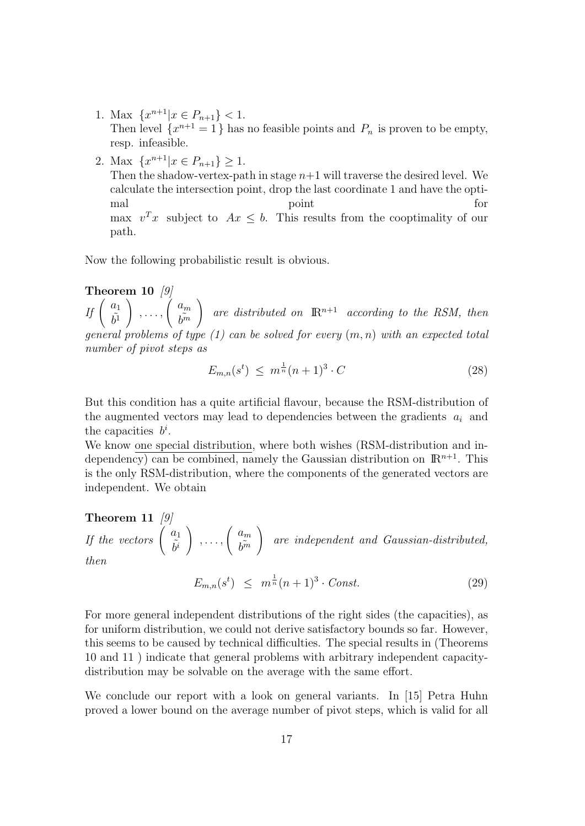- 1. Max  $\{x^{n+1}|x \in P_{n+1}\} < 1$ . Then level  $\{x^{n+1} = 1\}$  has no feasible points and  $P_n$  is proven to be empty, resp. infeasible.
- 2. Max  $\{x^{n+1}|x \in P_{n+1}\} \geq 1$ .

Then the shadow-vertex-path in stage  $n+1$  will traverse the desired level. We calculate the intersection point, drop the last coordinate 1 and have the optimal point for max  $v^T x$  subject to  $Ax \leq b$ . This results from the cooptimality of our path.

Now the following probabilistic result is obvious.

Theorem 10  $[9]$ If  $\begin{pmatrix} a_1 \\ \tilde{r} \end{pmatrix}$  $\tilde{b}^1$  $\Big\}$ , ...,  $\Big\{ \frac{a_m}{a_m^2}$  $\tilde{b^m}$ are distributed on  $\mathbb{R}^{n+1}$  according to the RSM, then general problems of type  $(1)$  can be solved for every  $(m, n)$  with an expected total number of pivot steps as

$$
E_{m,n}(s^t) \le m^{\frac{1}{n}}(n+1)^3 \cdot C \tag{28}
$$

But this condition has a quite artificial flavour, because the RSM-distribution of the augmented vectors may lead to dependencies between the gradients  $a_i$  and the capacities  $b^i$ .

We know one special distribution, where both wishes (RSM-distribution and independency) can be combined, namely the Gaussian distribution on  $\mathbb{R}^{n+1}$ . This is the only RSM-distribution, where the components of the generated vectors are independent. We obtain

#### Theorem 11  $[9]$ If the vectors  $\begin{pmatrix} a_1 \\ \tilde{b} \end{pmatrix}$  $\tilde{b}^i$  $\Big\}$ , ...,  $\Big\{ \frac{a_m}{a_m^2}$  $\tilde{b^m}$  $\setminus$ are independent and Gaussian-distributed, then

$$
E_{m,n}(s^t) \le m^{\frac{1}{n}}(n+1)^3 \cdot Const. \tag{29}
$$

For more general independent distributions of the right sides (the capacities), as for uniform distribution, we could not derive satisfactory bounds so far. However, this seems to be caused by technical difficulties. The special results in (Theorems 10 and 11 ) indicate that general problems with arbitrary independent capacitydistribution may be solvable on the average with the same effort.

We conclude our report with a look on general variants. In [15] Petra Huhn proved a lower bound on the average number of pivot steps, which is valid for all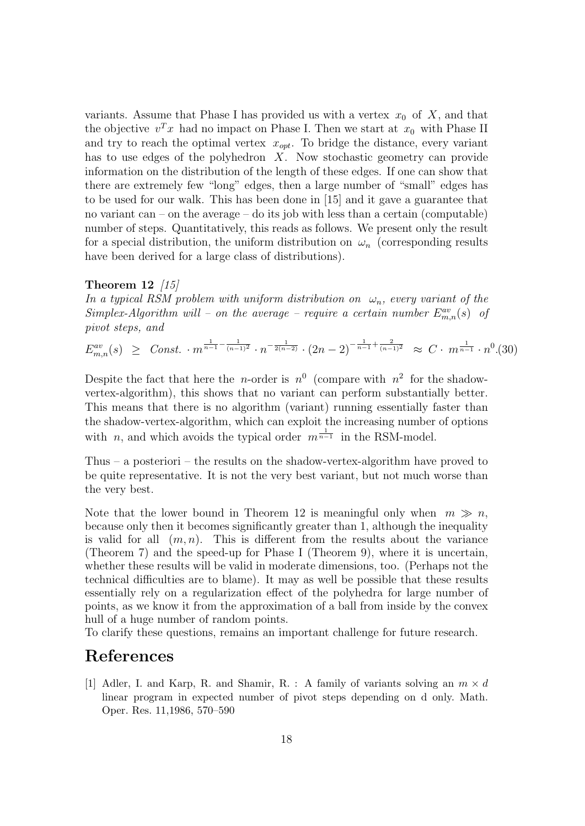variants. Assume that Phase I has provided us with a vertex  $x_0$  of X, and that the objective  $v^T x$  had no impact on Phase I. Then we start at  $x_0$  with Phase II and try to reach the optimal vertex  $x_{opt}$ . To bridge the distance, every variant has to use edges of the polyhedron  $X$ . Now stochastic geometry can provide information on the distribution of the length of these edges. If one can show that there are extremely few "long" edges, then a large number of "small" edges has to be used for our walk. This has been done in [15] and it gave a guarantee that no variant can – on the average – do its job with less than a certain (computable) number of steps. Quantitatively, this reads as follows. We present only the result for a special distribution, the uniform distribution on  $\omega_n$  (corresponding results have been derived for a large class of distributions).

#### Theorem 12  $(15)$

In a typical RSM problem with uniform distribution on  $\omega_n$ , every variant of the  $Simplex-Algorithms will - on the average - require a certain number  $E_{m,n}^{av}(s)$  of$ pivot steps, and

 $E^{av}_{m,n}(s) \geq Const. \cdot m^{\frac{1}{n-1} - \frac{1}{(n-1)^2}} \cdot n^{-\frac{1}{2(n-2)}} \cdot (2n-2)^{-\frac{1}{n-1} + \frac{2}{(n-1)^2}} \approx C \cdot m^{\frac{1}{n-1}} \cdot n^0.$  (30)

Despite the fact that here the *n*-order is  $n^0$  (compare with  $n^2$  for the shadowvertex-algorithm), this shows that no variant can perform substantially better. This means that there is no algorithm (variant) running essentially faster than the shadow-vertex-algorithm, which can exploit the increasing number of options with *n*, and which avoids the typical order  $m^{\frac{1}{n-1}}$  in the RSM-model.

Thus – a posteriori – the results on the shadow-vertex-algorithm have proved to be quite representative. It is not the very best variant, but not much worse than the very best.

Note that the lower bound in Theorem 12 is meaningful only when  $m \gg n$ , because only then it becomes significantly greater than 1, although the inequality is valid for all  $(m, n)$ . This is different from the results about the variance (Theorem 7) and the speed-up for Phase I (Theorem 9), where it is uncertain, whether these results will be valid in moderate dimensions, too. (Perhaps not the technical difficulties are to blame). It may as well be possible that these results essentially rely on a regularization effect of the polyhedra for large number of points, as we know it from the approximation of a ball from inside by the convex hull of a huge number of random points.

To clarify these questions, remains an important challenge for future research.

### References

[1] Adler, I. and Karp, R. and Shamir, R. : A family of variants solving an  $m \times d$ linear program in expected number of pivot steps depending on d only. Math. Oper. Res. 11,1986, 570–590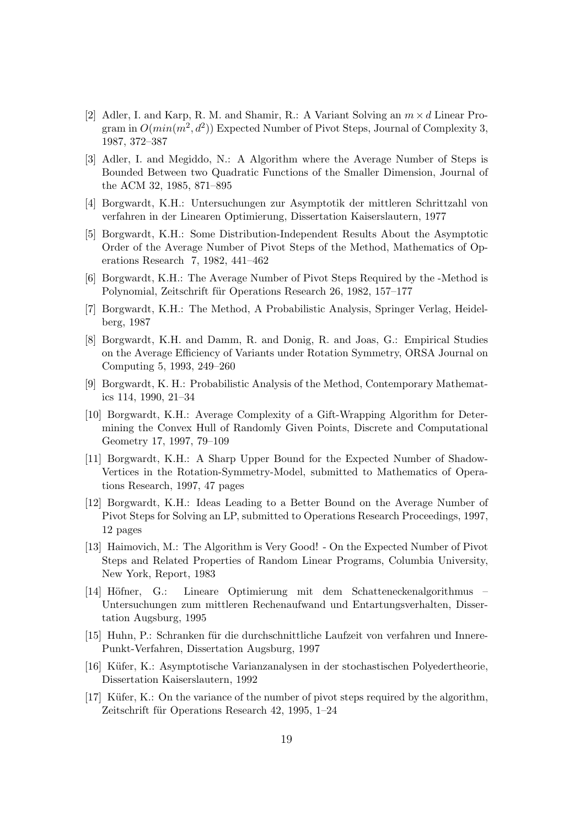- [2] Adler, I. and Karp, R. M. and Shamir, R.: A Variant Solving an  $m \times d$  Linear Program in  $O(min(m^2, d^2))$  Expected Number of Pivot Steps, Journal of Complexity 3, 1987, 372–387
- [3] Adler, I. and Megiddo, N.: A Algorithm where the Average Number of Steps is Bounded Between two Quadratic Functions of the Smaller Dimension, Journal of the ACM 32, 1985, 871–895
- [4] Borgwardt, K.H.: Untersuchungen zur Asymptotik der mittleren Schrittzahl von verfahren in der Linearen Optimierung, Dissertation Kaiserslautern, 1977
- [5] Borgwardt, K.H.: Some Distribution-Independent Results About the Asymptotic Order of the Average Number of Pivot Steps of the Method, Mathematics of Operations Research 7, 1982, 441–462
- [6] Borgwardt, K.H.: The Average Number of Pivot Steps Required by the -Method is Polynomial, Zeitschrift für Operations Research 26, 1982, 157–177
- [7] Borgwardt, K.H.: The Method, A Probabilistic Analysis, Springer Verlag, Heidelberg, 1987
- [8] Borgwardt, K.H. and Damm, R. and Donig, R. and Joas, G.: Empirical Studies on the Average Efficiency of Variants under Rotation Symmetry, ORSA Journal on Computing 5, 1993, 249–260
- [9] Borgwardt, K. H.: Probabilistic Analysis of the Method, Contemporary Mathematics 114, 1990, 21–34
- [10] Borgwardt, K.H.: Average Complexity of a Gift-Wrapping Algorithm for Determining the Convex Hull of Randomly Given Points, Discrete and Computational Geometry 17, 1997, 79–109
- [11] Borgwardt, K.H.: A Sharp Upper Bound for the Expected Number of Shadow-Vertices in the Rotation-Symmetry-Model, submitted to Mathematics of Operations Research, 1997, 47 pages
- [12] Borgwardt, K.H.: Ideas Leading to a Better Bound on the Average Number of Pivot Steps for Solving an LP, submitted to Operations Research Proceedings, 1997, 12 pages
- [13] Haimovich, M.: The Algorithm is Very Good! On the Expected Number of Pivot Steps and Related Properties of Random Linear Programs, Columbia University, New York, Report, 1983
- [14] Höfner, G.: Lineare Optimierung mit dem Schatteneckenalgorithmus Untersuchungen zum mittleren Rechenaufwand und Entartungsverhalten, Dissertation Augsburg, 1995
- [15] Huhn, P.: Schranken für die durchschnittliche Laufzeit von verfahren und Innere-Punkt-Verfahren, Dissertation Augsburg, 1997
- [16] Küfer, K.: Asymptotische Varianzanalysen in der stochastischen Polyedertheorie, Dissertation Kaiserslautern, 1992
- $[17]$  Küfer, K.: On the variance of the number of pivot steps required by the algorithm, Zeitschrift für Operations Research 42, 1995, 1–24